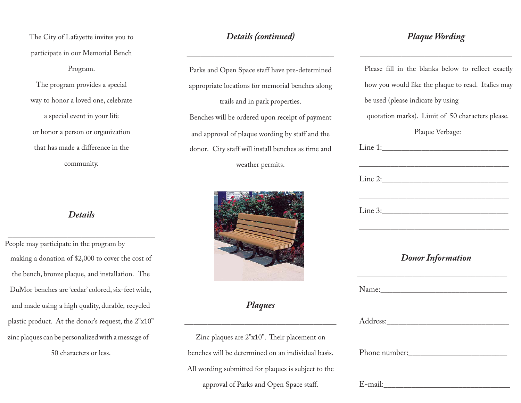The City of Lafayette invites you to participate in our Memorial Bench Program. The program provides a special way to honor a loved one, celebrate a special event in your life or honor a person or organization

that has made a difference in the community.

## *Details*

\_\_\_\_\_\_\_\_\_\_\_\_\_\_\_\_\_\_\_\_\_\_\_\_\_\_\_\_\_\_\_\_

People may participate in the program by making a donation of \$2,000 to cover the cost of the bench, bronze plaque, and installation. The DuMor benches are 'cedar' colored, six-feet wide, and made using a high quality, durable, recycled plastic product. At the donor's request, the 2"x10" zinc plaques can be personalized with a message of 50 characters or less.

## *Details (continued)*

\_\_\_\_\_\_\_\_\_\_\_\_\_\_\_\_\_\_\_\_\_\_\_\_\_\_\_\_\_\_\_\_

Parks and Open Space staff have pre-determined appropriate locations for memorial benches along trails and in park properties. Benches will be ordered upon receipt of payment and approval of plaque wording by staff and the donor. City staff will install benches as time and weather permits.



*Plaques*

\_\_\_\_\_\_\_\_\_\_\_\_\_\_\_\_\_\_\_\_\_\_\_\_\_\_\_\_\_\_\_\_\_

Zinc plaques are 2"x10". Their placement on benches will be determined on an individual basis. All wording submitted for plaques is subject to the approval of Parks and Open Space staff.

## *Plaque Wording*

\_\_\_\_\_\_\_\_\_\_\_\_\_\_\_\_\_\_\_\_\_\_\_\_\_\_\_\_\_\_\_\_\_

Please fill in the blanks below to reflect exactly how you would like the plaque to read. Italics may be used (please indicate by using quotation marks). Limit of 50 characters please. Plaque Verbage:  $\text{Line 1:}\qquad$  \_\_\_\_\_\_\_\_\_\_\_\_\_\_\_\_\_\_\_\_\_\_\_\_\_\_\_\_\_\_\_\_\_\_\_\_\_\_  $\text{Line 2:}\quad$  \_\_\_\_\_\_\_\_\_\_\_\_\_\_\_\_\_\_\_\_\_\_\_\_\_\_\_\_\_\_\_\_\_\_\_\_\_\_  $\text{Line 3:}\quad$  \_\_\_\_\_\_\_\_\_\_\_\_\_\_\_\_\_\_\_\_\_\_\_\_\_\_\_\_\_\_\_\_\_\_\_\_\_\_ *Donor Information* \_\_\_\_\_\_\_\_\_\_\_\_\_\_\_\_\_\_\_\_\_\_\_\_\_\_\_\_\_\_\_\_\_\_\_\_\_\_ Name: Address: Phone number:

 $E$ -mail: